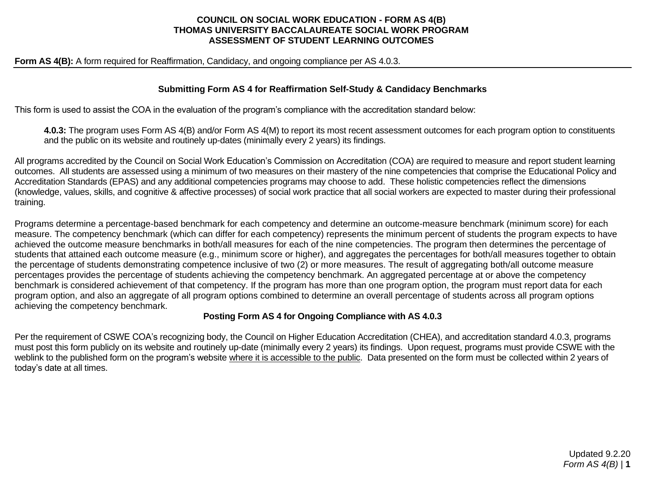### **COUNCIL ON SOCIAL WORK EDUCATION - FORM AS 4(B) THOMAS UNIVERSITY BACCALAUREATE SOCIAL WORK PROGRAM ASSESSMENT OF STUDENT LEARNING OUTCOMES**

**Form AS 4(B):** A form required for Reaffirmation, Candidacy, and ongoing compliance per AS 4.0.3.

#### **Submitting Form AS 4 for Reaffirmation Self-Study & Candidacy Benchmarks**

This form is used to assist the COA in the evaluation of the program's compliance with the accreditation standard below:

**4.0.3:** The program uses Form AS 4(B) and/or Form AS 4(M) to report its most recent assessment outcomes for each program option to constituents and the public on its website and routinely up-dates (minimally every 2 years) its findings.

All programs accredited by the Council on Social Work Education's Commission on Accreditation (COA) are required to measure and report student learning outcomes. All students are assessed using a minimum of two measures on their mastery of the nine competencies that comprise the Educational Policy and Accreditation Standards (EPAS) and any additional competencies programs may choose to add. These holistic competencies reflect the dimensions (knowledge, values, skills, and cognitive & affective processes) of social work practice that all social workers are expected to master during their professional training.

Programs determine a percentage-based benchmark for each competency and determine an outcome-measure benchmark (minimum score) for each measure. The competency benchmark (which can differ for each competency) represents the minimum percent of students the program expects to have achieved the outcome measure benchmarks in both/all measures for each of the nine competencies. The program then determines the percentage of students that attained each outcome measure (e.g., minimum score or higher), and aggregates the percentages for both/all measures together to obtain the percentage of students demonstrating competence inclusive of two (2) or more measures. The result of aggregating both/all outcome measure percentages provides the percentage of students achieving the competency benchmark. An aggregated percentage at or above the competency benchmark is considered achievement of that competency. If the program has more than one program option, the program must report data for each program option, and also an aggregate of all program options combined to determine an overall percentage of students across all program options achieving the competency benchmark.

#### **Posting Form AS 4 for Ongoing Compliance with AS 4.0.3**

Per the requirement of CSWE COA's recognizing body, the Council on Higher Education Accreditation (CHEA), and accreditation standard 4.0.3, programs must post this form publicly on its website and routinely up-date (minimally every 2 years) its findings. Upon request, programs must provide CSWE with the weblink to the published form on the program's website where it is accessible to the public. Data presented on the form must be collected within 2 years of today's date at all times.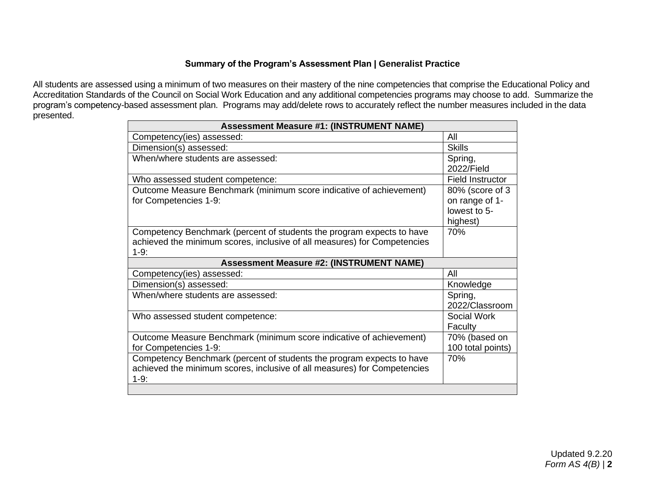## **Summary of the Program's Assessment Plan | Generalist Practice**

All students are assessed using a minimum of two measures on their mastery of the nine competencies that comprise the Educational Policy and Accreditation Standards of the Council on Social Work Education and any additional competencies programs may choose to add. Summarize the program's competency-based assessment plan. Programs may add/delete rows to accurately reflect the number measures included in the data presented.

| <b>Assessment Measure #1: (INSTRUMENT NAME)</b>                                                                                                             |                                                               |  |  |  |  |  |
|-------------------------------------------------------------------------------------------------------------------------------------------------------------|---------------------------------------------------------------|--|--|--|--|--|
| Competency(ies) assessed:                                                                                                                                   | All                                                           |  |  |  |  |  |
| Dimension(s) assessed:                                                                                                                                      | <b>Skills</b>                                                 |  |  |  |  |  |
| When/where students are assessed:                                                                                                                           | Spring,<br>2022/Field                                         |  |  |  |  |  |
| Who assessed student competence:                                                                                                                            | <b>Field Instructor</b>                                       |  |  |  |  |  |
| Outcome Measure Benchmark (minimum score indicative of achievement)<br>for Competencies 1-9:                                                                | 80% (score of 3<br>on range of 1-<br>lowest to 5-<br>highest) |  |  |  |  |  |
| Competency Benchmark (percent of students the program expects to have<br>achieved the minimum scores, inclusive of all measures) for Competencies<br>$1-9:$ | 70%                                                           |  |  |  |  |  |
| <b>Assessment Measure #2: (INSTRUMENT NAME)</b>                                                                                                             |                                                               |  |  |  |  |  |
| Competency(ies) assessed:                                                                                                                                   | All                                                           |  |  |  |  |  |
| Dimension(s) assessed:                                                                                                                                      | Knowledge                                                     |  |  |  |  |  |
| When/where students are assessed:                                                                                                                           | Spring,<br>2022/Classroom                                     |  |  |  |  |  |
| Who assessed student competence:                                                                                                                            | Social Work<br>Faculty                                        |  |  |  |  |  |
| Outcome Measure Benchmark (minimum score indicative of achievement)<br>for Competencies 1-9:                                                                | 70% (based on<br>100 total points)                            |  |  |  |  |  |
| Competency Benchmark (percent of students the program expects to have<br>achieved the minimum scores, inclusive of all measures) for Competencies           | 70%                                                           |  |  |  |  |  |
| $1-9:$                                                                                                                                                      |                                                               |  |  |  |  |  |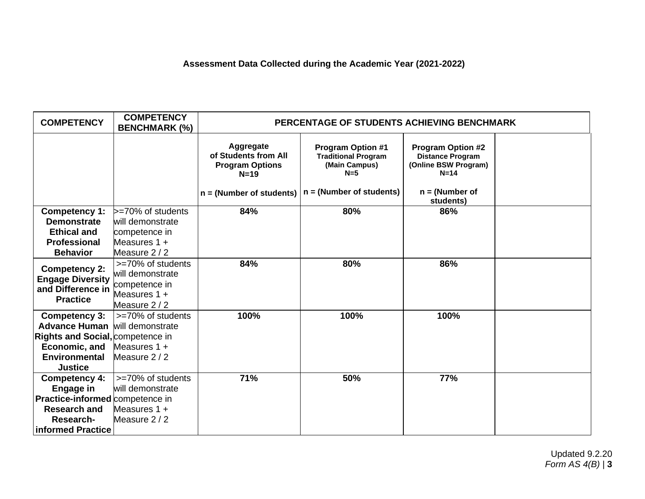# **Assessment Data Collected during the Academic Year (2021-2022)**

| <b>COMPETENCY</b>                                                                                                                           | <b>COMPETENCY</b><br><b>BENCHMARK (%)</b>                                               | PERCENTAGE OF STUDENTS ACHIEVING BENCHMARK                                                          |                                                                                                                |                                                                                                                        |  |  |  |
|---------------------------------------------------------------------------------------------------------------------------------------------|-----------------------------------------------------------------------------------------|-----------------------------------------------------------------------------------------------------|----------------------------------------------------------------------------------------------------------------|------------------------------------------------------------------------------------------------------------------------|--|--|--|
|                                                                                                                                             |                                                                                         | Aggregate<br>of Students from All<br><b>Program Options</b><br>$N=19$<br>$n = (Number of students)$ | <b>Program Option #1</b><br><b>Traditional Program</b><br>(Main Campus)<br>$N=5$<br>$n = (Number of students)$ | <b>Program Option #2</b><br><b>Distance Program</b><br>(Online BSW Program)<br>$N=14$<br>$n = (Number of$<br>students) |  |  |  |
| Competency 1:                                                                                                                               | $\ge$ =70% of students                                                                  | 84%                                                                                                 | 80%                                                                                                            | 86%                                                                                                                    |  |  |  |
| <b>Demonstrate</b>                                                                                                                          | will demonstrate                                                                        |                                                                                                     |                                                                                                                |                                                                                                                        |  |  |  |
| <b>Ethical and</b>                                                                                                                          | competence in                                                                           |                                                                                                     |                                                                                                                |                                                                                                                        |  |  |  |
| <b>Professional</b>                                                                                                                         | Measures $1 +$<br>Measure 2/2                                                           |                                                                                                     |                                                                                                                |                                                                                                                        |  |  |  |
| <b>Behavior</b>                                                                                                                             |                                                                                         | 84%                                                                                                 | 80%                                                                                                            | 86%                                                                                                                    |  |  |  |
| <b>Competency 2:</b><br><b>Engage Diversity</b><br>and Difference in<br><b>Practice</b>                                                     | >=70% of students<br>will demonstrate<br>competence in<br>Measures $1 +$<br>Measure 2/2 |                                                                                                     |                                                                                                                |                                                                                                                        |  |  |  |
| <b>Competency 3:</b><br><b>Advance Human</b><br>Rights and Social, competence in<br>Economic, and<br><b>Environmental</b><br><b>Justice</b> | >=70% of students<br>will demonstrate<br>Measures $1 +$<br>Measure 2/2                  | 100%                                                                                                | 100%                                                                                                           | 100%                                                                                                                   |  |  |  |
| <b>Competency 4:</b><br>Engage in<br>Practice-informed competence in<br><b>Research and</b><br>Research-<br>informed Practice               | >=70% of students<br>will demonstrate<br>Measures $1 +$<br>Measure 2/2                  | 71%                                                                                                 | 50%                                                                                                            | 77%                                                                                                                    |  |  |  |